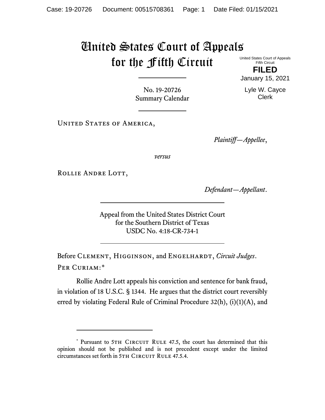## United States Court of Appeals for the Fifth Circuit

United States Court of Appeals Fifth Circuit **FILED**

January 15, 2021

Lyle W. Cayce Clerk

No. 19-20726 Summary Calendar

UNITED STATES OF AMERICA,

*Plaintiff—Appellee*,

*versus*

ROLLIE ANDRE LOTT,

*Defendant—Appellant*.

Appeal from the United States District Court for the Southern District of Texas USDC No. 4:18-CR-734-1

Before CLEMENT, HIGGINSON, and ENGELHARDT, *Circuit Judges*. Per Curiam:[\\*](#page-0-0)

Rollie Andre Lott appeals his conviction and sentence for bank fraud, in violation of 18 U.S.C. § 1344. He argues that the district court reversibly erred by violating Federal Rule of Criminal Procedure 32(h), (i)(1)(A), and

<span id="page-0-0"></span><sup>\*</sup> Pursuant to 5TH CIRCUIT RULE 47.5, the court has determined that this opinion should not be published and is not precedent except under the limited circumstances set forth in 5TH CIRCUIT RULE 47.5.4.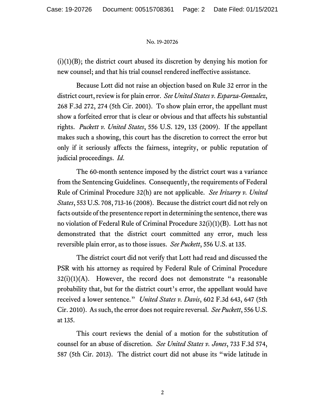## No. 19-20726

 $(i)(1)(B)$ ; the district court abused its discretion by denying his motion for new counsel; and that his trial counsel rendered ineffective assistance.

Because Lott did not raise an objection based on Rule 32 error in the district court, review is for plain error. *See United States v. Esparza-Gonzalez*, 268 F.3d 272, 274 (5th Cir. 2001). To show plain error, the appellant must show a forfeited error that is clear or obvious and that affects his substantial rights. *Puckett v. United States*, 556 U.S. 129, 135 (2009). If the appellant makes such a showing, this court has the discretion to correct the error but only if it seriously affects the fairness, integrity, or public reputation of judicial proceedings. *Id*.

The 60-month sentence imposed by the district court was a variance from the Sentencing Guidelines. Consequently, the requirements of Federal Rule of Criminal Procedure 32(h) are not applicable. *See Irizarry v. United States*, 553 U.S. 708, 713-16 (2008). Because the district court did not rely on facts outside of the presentence report in determining the sentence, there was no violation of Federal Rule of Criminal Procedure 32(i)(1)(B). Lott has not demonstrated that the district court committed any error, much less reversible plain error, as to those issues. *See Puckett*, 556 U.S. at 135.

The district court did not verify that Lott had read and discussed the PSR with his attorney as required by Federal Rule of Criminal Procedure  $32(i)(1)(A)$ . However, the record does not demonstrate "a reasonable" probability that, but for the district court's error, the appellant would have received a lower sentence." *United States v. Davis*, 602 F.3d 643, 647 (5th Cir. 2010). As such, the error does not require reversal. *See Puckett*, 556 U.S. at 135.

This court reviews the denial of a motion for the substitution of counsel for an abuse of discretion. *See United States v. Jones*, 733 F.3d 574, 587 (5th Cir. 2013). The district court did not abuse its "wide latitude in